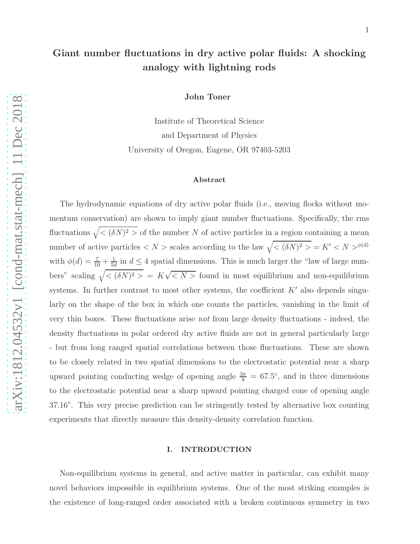# Giant number fluctuations in dry active polar fluids: A shocking analogy with lightning rods

John Toner

Institute of Theoretical Science and Department of Physics University of Oregon, Eugene, OR 97403-5203

#### Abstract

The hydrodynamic equations of dry active polar fluids (i.e., moving flocks without momentum conservation) are shown to imply giant number fluctuations. Specifically, the rms fluctuations  $\sqrt{\langle (\delta N)^2 \rangle}$  of the number N of active particles in a region containing a mean number of active particles  $\langle N \rangle$  scales according to the law  $\sqrt{\langle (\delta N)^2 \rangle} = K' \langle N \rangle^{\phi(d)}$ with  $\phi(d) = \frac{7}{10} + \frac{1}{5a}$  $\frac{1}{5d}$  in  $d \leq 4$  spatial dimensions. This is much larger the "law of large numbers" scaling  $\sqrt{\langle (\delta N)^2 \rangle} = K \sqrt{\langle N \rangle}$  found in most equilibrium and non-equilibrium systems. In further contrast to most other systems, the coefficient  $K'$  also depends singularly on the shape of the box in which one counts the particles, vanishing in the limit of very thin boxes. These fluctuations arise not from large density fluctuations - indeed, the density fluctuations in polar ordered dry active fluids are not in general particularly large - but from long ranged spatial correlations between those fluctuations. These are shown to be closely related in two spatial dimensions to the electrostatic potential near a sharp upward pointing conducting wedge of opening angle  $\frac{3\pi}{8} = 67.5^{\circ}$ , and in three dimensions to the electrostatic potential near a sharp upward pointing charged cone of opening angle 37.16◦ . This very precise prediction can be stringently tested by alternative box counting experiments that directly measure this density-density correlation function.

## I. INTRODUCTION

Non-equilibrium systems in general, and active matter in particular, can exhibit many novel behaviors impossible in equilibrium systems. One of the most striking examples is the existence of long-ranged order associated with a broken continuous symmetry in two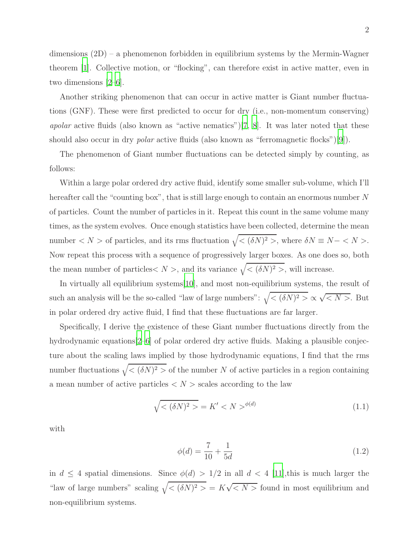dimensions (2D) – a phenomenon forbidden in equilibrium systems by the Mermin-Wagner theorem [\[1](#page-21-0)]. Collective motion, or "flocking", can therefore exist in active matter, even in two dimensions [\[2](#page-21-1)[–6\]](#page-21-2).

Another striking phenomenon that can occur in active matter is Giant number fluctuations (GNF). These were first predicted to occur for dry (i.e., non-momentum conserving) apolar active fluids (also known as "active nematics")[\[7,](#page-21-3) 8]. It was later noted that these should also occur in dry *polar* active fluids (also known as "ferromagnetic flocks")[\[9](#page-21-4)]).

The phenomenon of Giant number fluctuations can be detected simply by counting, as follows:

Within a large polar ordered dry active fluid, identify some smaller sub-volume, which I'll hereafter call the "counting box", that is still large enough to contain an enormous number N of particles. Count the number of particles in it. Repeat this count in the same volume many times, as the system evolves. Once enough statistics have been collected, determine the mean number  $\langle N \rangle$  of particles, and its rms fluctuation  $\sqrt{\langle (\delta N)^2 \rangle}$ , where  $\delta N \equiv N - \langle N \rangle$ . Now repeat this process with a sequence of progressively larger boxes. As one does so, both the mean number of particles  $\langle N \rangle$ , and its variance  $\sqrt{\langle (\delta N)^2 \rangle}$ , will increase.

In virtually all equilibrium systems[\[10](#page-21-5)], and most non-equilibrium systems, the result of such an analysis will be the so-called "law of large numbers":  $\sqrt{\langle (\delta N)^2 \rangle} \propto \sqrt{\langle N \rangle}$ . But in polar ordered dry active fluid, I find that these fluctuations are far larger.

Specifically, I derive the existence of these Giant number fluctuations directly from the hydrodynamic equations [\[2](#page-21-1)[–6](#page-21-2)] of polar ordered dry active fluids. Making a plausible conjecture about the scaling laws implied by those hydrodynamic equations, I find that the rms number fluctuations  $\sqrt{\langle (\delta N)^2 \rangle}$  of the number N of active particles in a region containing a mean number of active particles  $\langle N \rangle$  scales according to the law

<span id="page-1-0"></span>
$$
\sqrt{\langle (\delta N)^2 \rangle} = K' \langle N \rangle^{\phi(d)} \tag{1.1}
$$

with

$$
\phi(d) = \frac{7}{10} + \frac{1}{5d} \tag{1.2}
$$

in  $d \leq 4$  spatial dimensions. Since  $\phi(d) > 1/2$  in all  $d < 4$  [11], this is much larger the "law of large numbers" scaling  $\sqrt{\langle (\delta N)^2 \rangle} = K \sqrt{\langle N \rangle}$  found in most equilibrium and non-equilibrium systems.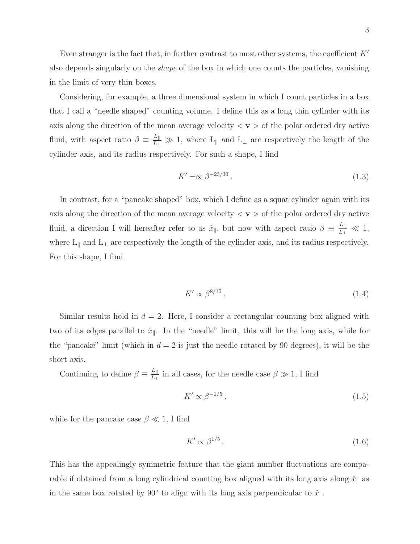3

Even stranger is the fact that, in further contrast to most other systems, the coefficient  $K'$ also depends singularly on the shape of the box in which one counts the particles, vanishing in the limit of very thin boxes.

Considering, for example, a three dimensional system in which I count particles in a box that I call a "needle shaped" counting volume. I define this as a long thin cylinder with its axis along the direction of the mean average velocity  $\langle v \rangle$  of the polar ordered dry active fluid, with aspect ratio  $\beta \equiv \frac{L_{\parallel}}{L_{\perp}} \gg 1$ , where  $L_{\parallel}$  and  $L_{\perp}$  are respectively the length of the cylinder axis, and its radius respectively. For such a shape, I find

$$
K' = \propto \beta^{-23/30} \,. \tag{1.3}
$$

In contrast, for a "pancake shaped" box, which I define as a squat cylinder again with its axis along the direction of the mean average velocity  $\langle v \rangle$  of the polar ordered dry active fluid, a direction I will hereafter refer to as  $\hat{x}_{\parallel}$ , but now with aspect ratio  $\beta = \frac{L_{\parallel}}{L_{\perp}} \ll 1$ , where L<sub>||</sub> and L<sub>⊥</sub> are respectively the length of the cylinder axis, and its radius respectively. For this shape, I find

<span id="page-2-0"></span>
$$
K' \propto \beta^{8/15} \,. \tag{1.4}
$$

Similar results hold in  $d = 2$ . Here, I consider a rectangular counting box aligned with two of its edges parallel to  $\hat{x}_{\parallel}$ . In the "needle" limit, this will be the long axis, while for the "pancake" limit (which in  $d = 2$  is just the needle rotated by 90 degrees), it will be the short axis.

Continuing to define  $\beta \equiv \frac{L_{\parallel}}{L_{\perp}}$  $\frac{L_{\parallel}}{L_{\perp}}$  in all cases, for the needle case  $\beta \gg 1$ , I find

$$
K' \propto \beta^{-1/5},\tag{1.5}
$$

while for the pancake case  $\beta \ll 1$ , I find

$$
K' \propto \beta^{1/5} \,. \tag{1.6}
$$

This has the appealingly symmetric feature that the giant number fluctuations are comparable if obtained from a long cylindrical counting box aligned with its long axis along  $\hat{x}_{\parallel}$  as in the same box rotated by 90 $^{\circ}$  to align with its long axis perpendicular to  $\hat{x}_{\parallel}$ .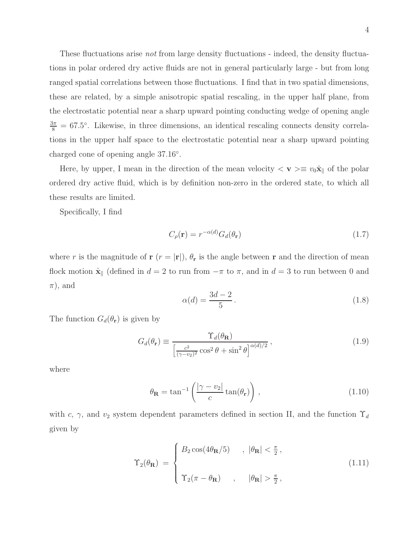These fluctuations arise not from large density fluctuations - indeed, the density fluctuations in polar ordered dry active fluids are not in general particularly large - but from long ranged spatial correlations between those fluctuations. I find that in two spatial dimensions, these are related, by a simple anisotropic spatial rescaling, in the upper half plane, from the electrostatic potential near a sharp upward pointing conducting wedge of opening angle  $\frac{3\pi}{8}$  = 67.5°. Likewise, in three dimensions, an identical rescaling connects density correlations in the upper half space to the electrostatic potential near a sharp upward pointing charged cone of opening angle 37.16◦ .

Here, by upper, I mean in the direction of the mean velocity  $\langle \mathbf{v} \rangle \equiv v_0 \hat{\mathbf{x}}_{\parallel}$  of the polar ordered dry active fluid, which is by definition non-zero in the ordered state, to which all these results are limited.

Specifically, I find

$$
C_{\rho}(\mathbf{r}) = r^{-\alpha(d)} G_d(\theta_\mathbf{r}) \tag{1.7}
$$

where r is the magnitude of  $\mathbf{r}$  ( $r = |\mathbf{r}|$ ),  $\theta_{\mathbf{r}}$  is the angle between r and the direction of mean flock motion  $\hat{\mathbf{x}}_{\parallel}$  (defined in  $d = 2$  to run from  $-\pi$  to  $\pi$ , and in  $d = 3$  to run between 0 and  $\pi$ , and

$$
\alpha(d) = \frac{3d - 2}{5} \,. \tag{1.8}
$$

The function  $G_d(\theta_r)$  is given by

<span id="page-3-1"></span>
$$
G_d(\theta_{\mathbf{r}}) \equiv \frac{\Upsilon_d(\theta_{\mathbf{R}})}{\left[\frac{c^2}{(\gamma - v_2)^2} \cos^2 \theta + \sin^2 \theta\right]^{\alpha(d)/2}},\tag{1.9}
$$

where

<span id="page-3-2"></span>
$$
\theta_{\mathbf{R}} = \tan^{-1} \left( \frac{|\gamma - v_2|}{c} \tan(\theta_{\mathbf{r}}) \right), \qquad (1.10)
$$

with c,  $\gamma$ , and  $v_2$  system dependent parameters defined in section II, and the function  $\Upsilon_d$ given by

<span id="page-3-0"></span>
$$
\Upsilon_2(\theta_{\mathbf{R}}) = \begin{cases} B_2 \cos(4\theta_{\mathbf{R}}/5) & , |\theta_{\mathbf{R}}| < \frac{\pi}{2}, \\ & \\ \Upsilon_2(\pi - \theta_{\mathbf{R}}) & , | \theta_{\mathbf{R}} | > \frac{\pi}{2}, \end{cases}
$$
(1.11)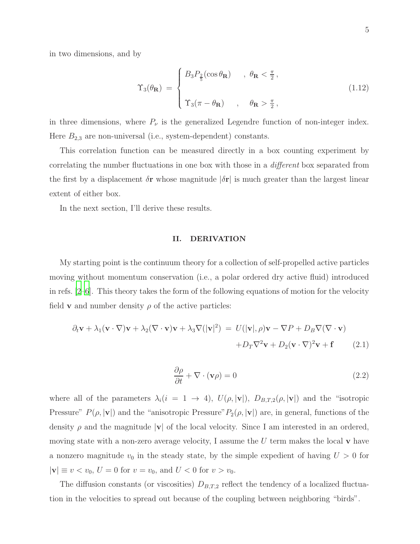in two dimensions, and by

<span id="page-4-2"></span>
$$
\Upsilon_3(\theta_{\mathbf{R}}) = \begin{cases} B_3 P_{\frac{2}{5}}(\cos \theta_{\mathbf{R}}) & , \ \theta_{\mathbf{R}} < \frac{\pi}{2}, \\ \Upsilon_3(\pi - \theta_{\mathbf{R}}) & , \ \theta_{\mathbf{R}} > \frac{\pi}{2}, \end{cases}
$$
(1.12)

in three dimensions, where  $P_{\nu}$  is the generalized Legendre function of non-integer index. Here  $B_{2,3}$  are non-universal (i.e., system-dependent) constants.

This correlation function can be measured directly in a box counting experiment by correlating the number fluctuations in one box with those in a different box separated from the first by a displacement  $\delta$ r whose magnitude  $|\delta$ r is much greater than the largest linear extent of either box.

In the next section, I'll derive these results.

#### II. DERIVATION

My starting point is the continuum theory for a collection of self-propelled active particles moving without momentum conservation (i.e., a polar ordered dry active fluid) introduced in refs. [\[2](#page-21-1)[–6\]](#page-21-2). This theory takes the form of the following equations of motion for the velocity field **v** and number density  $\rho$  of the active particles:

<span id="page-4-0"></span>
$$
\partial_t \mathbf{v} + \lambda_1 (\mathbf{v} \cdot \nabla) \mathbf{v} + \lambda_2 (\nabla \cdot \mathbf{v}) \mathbf{v} + \lambda_3 \nabla (|\mathbf{v}|^2) = U(|\mathbf{v}|, \rho) \mathbf{v} - \nabla P + D_B \nabla (\nabla \cdot \mathbf{v}) + D_T \nabla^2 \mathbf{v} + D_2 (\mathbf{v} \cdot \nabla)^2 \mathbf{v} + \mathbf{f}
$$
(2.1)

<span id="page-4-1"></span>
$$
\frac{\partial \rho}{\partial t} + \nabla \cdot (\mathbf{v}\rho) = 0 \tag{2.2}
$$

where all of the parameters  $\lambda_i(i = 1 \rightarrow 4)$ ,  $U(\rho, |\mathbf{v}|)$ ,  $D_{B,T,2}(\rho, |\mathbf{v}|)$  and the "isotropic Pressure"  $P(\rho, |\mathbf{v}|)$  and the "anisotropic Pressure"  $P_2(\rho, |\mathbf{v}|)$  are, in general, functions of the density  $\rho$  and the magnitude  $|v|$  of the local velocity. Since I am interested in an ordered, moving state with a non-zero average velocity, I assume the  $U$  term makes the local  $\bf{v}$  have a nonzero magnitude  $v_0$  in the steady state, by the simple expedient of having  $U > 0$  for  $|\mathbf{v}| \equiv v < v_0, U = 0$  for  $v = v_0$ , and  $U < 0$  for  $v > v_0$ .

The diffusion constants (or viscosities)  $D_{B,T,2}$  reflect the tendency of a localized fluctuation in the velocities to spread out because of the coupling between neighboring "birds".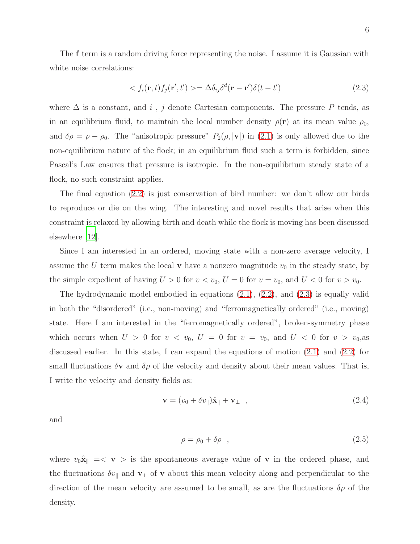The f term is a random driving force representing the noise. I assume it is Gaussian with white noise correlations:

<span id="page-5-0"></span>
$$
\langle f_i(\mathbf{r},t)f_j(\mathbf{r}',t')\rangle = \Delta \delta_{ij}\delta^d(\mathbf{r}-\mathbf{r}')\delta(t-t')
$$
\n(2.3)

where  $\Delta$  is a constant, and i, j denote Cartesian components. The pressure P tends, as in an equilibrium fluid, to maintain the local number density  $\rho(\mathbf{r})$  at its mean value  $\rho_0$ , and  $\delta \rho = \rho - \rho_0$ . The "anisotropic pressure"  $P_2(\rho, |\mathbf{v}|)$  in [\(2.1\)](#page-4-0) is only allowed due to the non-equilibrium nature of the flock; in an equilibrium fluid such a term is forbidden, since Pascal's Law ensures that pressure is isotropic. In the non-equilibrium steady state of a flock, no such constraint applies.

The final equation [\(2.2\)](#page-4-1) is just conservation of bird number: we don't allow our birds to reproduce or die on the wing. The interesting and novel results that arise when this constraint is relaxed by allowing birth and death while the flock is moving has been discussed elsewhere [\[12](#page-22-0)].

Since I am interested in an ordered, moving state with a non-zero average velocity, I assume the U term makes the local **v** have a nonzero magnitude  $v_0$  in the steady state, by the simple expedient of having  $U > 0$  for  $v < v_0$ ,  $U = 0$  for  $v = v_0$ , and  $U < 0$  for  $v > v_0$ .

The hydrodynamic model embodied in equations [\(2.1\)](#page-4-0), [\(2.2\)](#page-4-1), and [\(2.3\)](#page-5-0) is equally valid in both the "disordered" (i.e., non-moving) and "ferromagnetically ordered" (i.e., moving) state. Here I am interested in the "ferromagnetically ordered", broken-symmetry phase which occurs when  $U > 0$  for  $v < v_0$ ,  $U = 0$  for  $v = v_0$ , and  $U < 0$  for  $v > v_0$ , as discussed earlier. In this state, I can expand the equations of motion [\(2.1\)](#page-4-0) and [\(2.2\)](#page-4-1) for small fluctuations  $\delta v$  and  $\delta \rho$  of the velocity and density about their mean values. That is, I write the velocity and density fields as:

$$
\mathbf{v} = (v_0 + \delta v_{\parallel})\hat{\mathbf{x}}_{\parallel} + \mathbf{v}_{\perp} \quad , \tag{2.4}
$$

and

$$
\rho = \rho_0 + \delta \rho \quad , \tag{2.5}
$$

where  $v_0\hat{\mathbf{x}}_{\parallel} = \langle \mathbf{v} \rangle$  is the spontaneous average value of **v** in the ordered phase, and the fluctuations  $\delta v_{\parallel}$  and  $\mathbf{v}_{\perp}$  of v about this mean velocity along and perpendicular to the direction of the mean velocity are assumed to be small, as are the fluctuations  $\delta \rho$  of the density.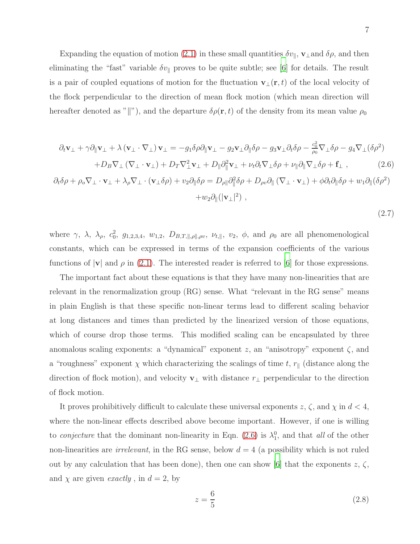Expanding the equation of motion [\(2.1\)](#page-4-0) in these small quantities  $\delta v_{\parallel}$ ,  $\mathbf{v}_{\perp}$  and  $\delta \rho$ , and then eliminating the "fast" variable  $\delta v_{\parallel}$  proves to be quite subtle; see [\[6\]](#page-21-2) for details. The result is a pair of coupled equations of motion for the fluctuation  $\mathbf{v}_{\perp}(\mathbf{r}, t)$  of the local velocity of the flock perpendicular to the direction of mean flock motion (which mean direction will hereafter denoted as "|"), and the departure  $\delta \rho(\mathbf{r}, t)$  of the density from its mean value  $\rho_0$ 

<span id="page-6-0"></span>
$$
\partial_t \mathbf{v}_{\perp} + \gamma \partial_{\parallel} \mathbf{v}_{\perp} + \lambda (\mathbf{v}_{\perp} \cdot \nabla_{\perp}) \mathbf{v}_{\perp} = -g_1 \delta \rho \partial_{\parallel} \mathbf{v}_{\perp} - g_2 \mathbf{v}_{\perp} \partial_{\parallel} \delta \rho - g_3 \mathbf{v}_{\perp} \partial_t \delta \rho - \frac{c_0^2}{\rho_0} \nabla_{\perp} \delta \rho - g_4 \nabla_{\perp} (\delta \rho^2) + D_B \nabla_{\perp} (\nabla_{\perp} \cdot \mathbf{v}_{\perp}) + D_T \nabla_{\perp}^2 \mathbf{v}_{\perp} + D_{\parallel} \partial_{\parallel}^2 \mathbf{v}_{\perp} + \nu_t \partial_t \nabla_{\perp} \delta \rho + \nu_{\parallel} \partial_{\parallel} \nabla_{\perp} \delta \rho + \mathbf{f}_{\perp} \,, \tag{2.6}
$$

$$
\partial_t \delta \rho + \rho_o \nabla_\perp \cdot \mathbf{v}_\perp + \lambda_\rho \nabla_\perp \cdot (\mathbf{v}_\perp \delta \rho) + v_2 \partial_\parallel \delta \rho = D_{\rho \parallel} \partial_\parallel^2 \delta \rho + D_{\rho v} \partial_\parallel (\nabla_\perp \cdot \mathbf{v}_\perp) + \phi \partial_t \partial_\parallel \delta \rho + w_1 \partial_\parallel (\delta \rho^2) + w_2 \partial_\parallel (|\mathbf{v}_\perp|^2) ,
$$

where  $\gamma$ ,  $\lambda$ ,  $\lambda$ <sub>ρ</sub>,  $c_0^2$ ,  $g_{1,2,3,4}$ ,  $w_{1,2}$ ,  $D_{B,T,\|\rho\|,\rho\nu}$ ,  $\nu_{t,\|\rho\}$ ,  $v_2$ ,  $\phi$ , and  $\rho_0$  are all phenomenological constants, which can be expressed in terms of the expansion coefficients of the various functions of  $|v|$  and  $\rho$  in [\(2.1\)](#page-4-0). The interested reader is referred to [\[6\]](#page-21-2) for those expressions.

The important fact about these equations is that they have many non-linearities that are relevant in the renormalization group (RG) sense. What "relevant in the RG sense" means in plain English is that these specific non-linear terms lead to different scaling behavior at long distances and times than predicted by the linearized version of those equations, which of course drop those terms. This modified scaling can be encapsulated by three anomalous scaling exponents: a "dynamical" exponent z, an "anisotropy" exponent  $\zeta$ , and a "roughness" exponent  $\chi$  which characterizing the scalings of time t,  $r_{\parallel}$  (distance along the direction of flock motion), and velocity  $\mathbf{v}_{\perp}$  with distance  $r_{\perp}$  perpendicular to the direction of flock motion.

It proves prohibitively difficult to calculate these universal exponents z,  $\zeta$ , and  $\chi$  in  $d < 4$ , where the non-linear effects described above become important. However, if one is willing to *conjecture* that the dominant non-linearity in Eqn. [\(2.6\)](#page-6-0) is  $\lambda_1^0$ , and that all of the other non-linearities are *irrelevant*, in the RG sense, below  $d = 4$  (a possibility which is not ruled out by any calculation that has been done), then one can show [\[6](#page-21-2)] that the exponents  $z, \zeta$ , and  $\chi$  are given *exactly*, in  $d = 2$ , by

$$
z = \frac{6}{5} \tag{2.8}
$$

(2.7)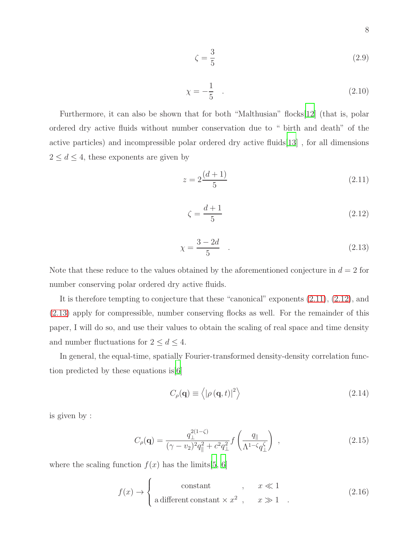$$
\zeta = \frac{3}{5} \tag{2.9}
$$

$$
\chi = -\frac{1}{5} \quad . \tag{2.10}
$$

Furthermore, it can also be shown that for both "Malthusian" flocks[\[12](#page-22-0)] (that is, polar ordered dry active fluids without number conservation due to " birth and death" of the active particles) and incompressible polar ordered dry active fluids[\[13\]](#page-22-1) , for all dimensions  $2 \leq d \leq 4$ , these exponents are given by

<span id="page-7-0"></span>
$$
z = 2\frac{(d+1)}{5} \tag{2.11}
$$

<span id="page-7-1"></span>
$$
\zeta = \frac{d+1}{5} \tag{2.12}
$$

<span id="page-7-2"></span>
$$
\chi = \frac{3 - 2d}{5} \quad . \tag{2.13}
$$

Note that these reduce to the values obtained by the aforementioned conjecture in  $d = 2$  for number conserving polar ordered dry active fluids.

It is therefore tempting to conjecture that these "canonical" exponents [\(2.11\)](#page-7-0), [\(2.12\)](#page-7-1), and [\(2.13\)](#page-7-2) apply for compressible, number conserving flocks as well. For the remainder of this paper, I will do so, and use their values to obtain the scaling of real space and time density and number fluctuations for  $2 \le d \le 4$ .

In general, the equal-time, spatially Fourier-transformed density-density correlation function predicted by these equations is  $|6|$ 

$$
C_{\rho}(\mathbf{q}) \equiv \left\langle |\rho(\mathbf{q},t)|^2 \right\rangle \tag{2.14}
$$

is given by :

<span id="page-7-3"></span>
$$
C_{\rho}(\mathbf{q}) = \frac{q_{\perp}^{2(1-\zeta)}}{(\gamma - v_2)^2 q_{\parallel}^2 + c^2 q_{\perp}^2} f\left(\frac{q_{\parallel}}{\Lambda^{1-\zeta} q_{\perp}^{\zeta}}\right) ,
$$
 (2.15)

where the scaling function  $f(x)$  has the limits[\[5,](#page-21-6) [6\]](#page-21-2)

$$
f(x) \to \begin{cases} \text{constant} & , x \ll 1 \\ \text{a different constant} \times x^2, & x \gg 1 \end{cases}
$$
 (2.16)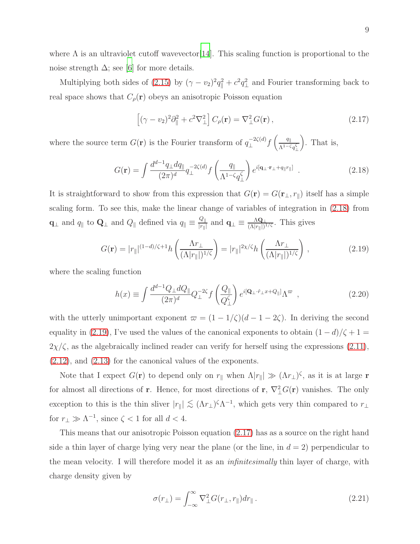where  $\Lambda$  is an ultraviolet cutoff wavevector [\[14](#page-22-2)]. This scaling function is proportional to the noise strength  $\Delta$ ; see [\[6](#page-21-2)] for more details.

Multiplying both sides of [\(2.15\)](#page-7-3) by  $(\gamma - v_2)^2 q_{\parallel}^2 + c^2 q_{\perp}^2$  and Fourier transforming back to real space shows that  $C_{\rho}(\mathbf{r})$  obeys an anisotropic Poisson equation

<span id="page-8-2"></span>
$$
\left[ (\gamma - v_2)^2 \partial_{\parallel}^2 + c^2 \nabla_{\perp}^2 \right] C_{\rho}(\mathbf{r}) = \nabla_{\perp}^2 G(\mathbf{r}) \,, \tag{2.17}
$$

where the source term  $G(\mathbf{r})$  is the Fourier transform of  $q_{\perp}^{-2\zeta(d)}f\left(\frac{q_{\parallel}}{\Lambda^{1-\zeta(d)}}\right)$  $\Lambda^{1-\zeta}q_{\perp}^{\zeta}$ . That is,

<span id="page-8-0"></span>
$$
G(\mathbf{r}) = \int \frac{d^{d-1}q_{\perp}dq_{\parallel}}{(2\pi)^d} q_{\perp}^{-2\zeta(d)} f\left(\frac{q_{\parallel}}{\Lambda^{1-\zeta}q_{\perp}^{\zeta}}\right) e^{i[\mathbf{q}_{\perp}\cdot\mathbf{r}_{\perp}+q_{\parallel}r_{\parallel}]} \tag{2.18}
$$

It is straightforward to show from this expression that  $G(\mathbf{r}) = G(\mathbf{r}_{\perp}, r_{\parallel})$  itself has a simple scaling form. To see this, make the linear change of variables of integration in [\(2.18\)](#page-8-0) from  $\mathbf{q}_{\perp}$  and  $q_{\parallel}$  to  $\mathbf{Q}_{\perp}$  and  $Q_{\parallel}$  defined via  $q_{\parallel} \equiv \frac{Q_{\parallel}}{|r_{\parallel}|}$  $\frac{Q_{\parallel}}{|r_{\parallel}|}$  and  $\mathbf{q}_{\perp} \equiv \frac{\Lambda \mathbf{Q}_{\perp}}{(\Lambda |r_{\parallel}|)^3}$  $\frac{\Lambda \mathbf{Q}_{\perp}}{(\Lambda |r_{\parallel}|)^{1/\zeta}}$ . This gives

<span id="page-8-1"></span>
$$
G(\mathbf{r}) = |r_{\parallel}|^{(1-d)/\zeta + 1} h\left(\frac{\Lambda r_{\perp}}{(\Lambda|r_{\parallel}|)^{1/\zeta}}\right) = |r_{\parallel}|^{2\chi/\zeta} h\left(\frac{\Lambda r_{\perp}}{(\Lambda|r_{\parallel}|)^{1/\zeta}}\right),\tag{2.19}
$$

where the scaling function

$$
h(x) \equiv \int \frac{d^{d-1}Q_{\perp}dQ_{\parallel}}{(2\pi)^d} Q_{\perp}^{-2\zeta} f\left(\frac{Q_{\parallel}}{Q_{\perp}^{\zeta}}\right) e^{i[\mathbf{Q}_{\perp}\cdot\hat{r}_{\perp}x+Q_{\parallel}]} \Lambda^{\varpi} , \qquad (2.20)
$$

with the utterly unimportant exponent  $\varpi = (1 - 1/\zeta)(d - 1 - 2\zeta)$ . In deriving the second equality in [\(2.19\)](#page-8-1), I've used the values of the canonical exponents to obtain  $(1 - d)/\zeta + 1 =$  $2\chi/\zeta$ , as the algebraically inclined reader can verify for herself using the expressions [\(2.11\)](#page-7-0), [\(2.12\)](#page-7-1), and [\(2.13\)](#page-7-2) for the canonical values of the exponents.

Note that I expect  $G(\mathbf{r})$  to depend only on  $r_{\parallel}$  when  $\Lambda |r_{\parallel}| \gg (\Lambda r_{\perp})^{\zeta}$ , as it is at large r for almost all directions of **r**. Hence, for most directions of **r**,  $\nabla^2_{\perp}G(\mathbf{r})$  vanishes. The only exception to this is the thin sliver  $|r_{\parallel}| \lesssim (\Lambda r_{\perp})^{\zeta} \Lambda^{-1}$ , which gets very thin compared to  $r_{\perp}$ for  $r_{\perp} \gg \Lambda^{-1}$ , since  $\zeta < 1$  for all  $d < 4$ .

This means that our anisotropic Poisson equation [\(2.17\)](#page-8-2) has as a source on the right hand side a thin layer of charge lying very near the plane (or the line, in  $d = 2$ ) perpendicular to the mean velocity. I will therefore model it as an infinitesimally thin layer of charge, with charge density given by

<span id="page-8-3"></span>
$$
\sigma(r_{\perp}) = \int_{-\infty}^{\infty} \nabla_{\perp}^{2} G(r_{\perp}, r_{\parallel}) dr_{\parallel}.
$$
\n(2.21)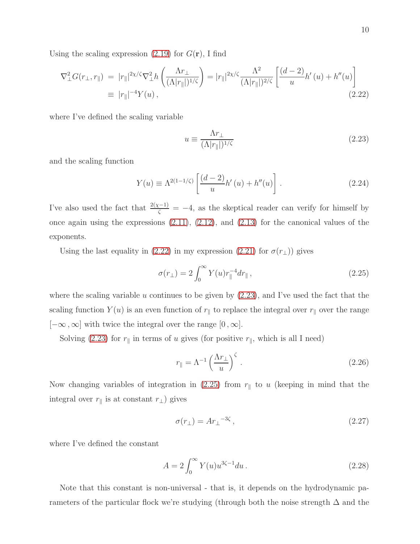Using the scaling expression  $(2.19)$  for  $G(\mathbf{r})$ , I find

<span id="page-9-0"></span>
$$
\nabla_{\perp}^{2} G(r_{\perp}, r_{\parallel}) = |r_{\parallel}|^{2\chi/\zeta} \nabla_{\perp}^{2} h\left(\frac{\Lambda r_{\perp}}{(\Lambda|r_{\parallel}|)^{1/\zeta}}\right) = |r_{\parallel}|^{2\chi/\zeta} \frac{\Lambda^{2}}{(\Lambda|r_{\parallel}|)^{2/\zeta}} \left[\frac{(d-2)}{u} h'(u) + h''(u)\right]
$$
  
\n
$$
\equiv |r_{\parallel}|^{-4} Y(u), \qquad (2.22)
$$

where I've defined the scaling variable

<span id="page-9-1"></span>
$$
u \equiv \frac{\Lambda r_{\perp}}{(\Lambda |r_{\parallel}|)^{1/\zeta}} \tag{2.23}
$$

and the scaling function

$$
Y(u) \equiv \Lambda^{2(1-1/\zeta)} \left[ \frac{(d-2)}{u} h'(u) + h''(u) \right].
$$
 (2.24)

I've also used the fact that  $\frac{2(\chi-1)}{\zeta} = -4$ , as the skeptical reader can verify for himself by once again using the expressions [\(2.11\)](#page-7-0), [\(2.12\)](#page-7-1), and [\(2.13\)](#page-7-2) for the canonical values of the exponents.

Using the last equality in [\(2.22\)](#page-9-0) in my expression [\(2.21\)](#page-8-3) for  $\sigma(r_{\perp})$ ) gives

<span id="page-9-2"></span>
$$
\sigma(r_{\perp}) = 2 \int_0^\infty Y(u) r_{\parallel}^{-4} dr_{\parallel} , \qquad (2.25)
$$

where the scaling variable u continues to be given by  $(2.23)$ , and I've used the fact that the scaling function  $Y(u)$  is an even function of  $r_{\parallel}$  to replace the integral over  $r_{\parallel}$  over the range  $[-\infty, \infty]$  with twice the integral over the range  $[0, \infty]$ .

Solving [\(2.23\)](#page-9-1) for  $r_{\parallel}$  in terms of u gives (for positive  $r_{\parallel}$ , which is all I need)

$$
r_{\parallel} = \Lambda^{-1} \left(\frac{\Lambda r_{\perp}}{u}\right)^{\zeta}.
$$
\n(2.26)

Now changing variables of integration in [\(2.25\)](#page-9-2) from  $r_{\parallel}$  to u (keeping in mind that the integral over  $r_{\parallel}$  is at constant  $r_{\perp}$ ) gives

$$
\sigma(r_{\perp}) = Ar_{\perp}^{-3\zeta},\tag{2.27}
$$

where I've defined the constant

$$
A = 2 \int_0^\infty Y(u) u^{3\zeta - 1} du.
$$
 (2.28)

Note that this constant is non-universal - that is, it depends on the hydrodynamic parameters of the particular flock we're studying (through both the noise strength ∆ and the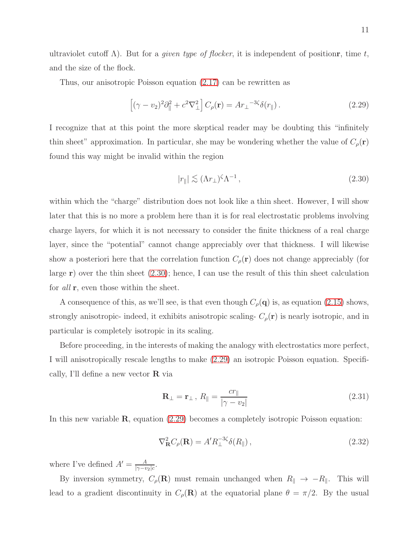ultraviolet cutoff  $\Lambda$ ). But for a *given type of flocker*, it is independent of positionr, time t, and the size of the flock.

Thus, our anisotropic Poisson equation [\(2.17\)](#page-8-2) can be rewritten as

<span id="page-10-1"></span>
$$
\left[ (\gamma - v_2)^2 \partial_{\parallel}^2 + c^2 \nabla_{\perp}^2 \right] C_{\rho}(\mathbf{r}) = A r_{\perp}^{-3\zeta} \delta(r_{\parallel}). \tag{2.29}
$$

I recognize that at this point the more skeptical reader may be doubting this "infinitely thin sheet" approximation. In particular, she may be wondering whether the value of  $C_{\rho}(\mathbf{r})$ found this way might be invalid within the region

<span id="page-10-0"></span>
$$
|r_{\parallel}| \lesssim (\Lambda r_{\perp})^{\zeta} \Lambda^{-1}, \qquad (2.30)
$$

within which the "charge" distribution does not look like a thin sheet. However, I will show later that this is no more a problem here than it is for real electrostatic problems involving charge layers, for which it is not necessary to consider the finite thickness of a real charge layer, since the "potential" cannot change appreciably over that thickness. I will likewise show a posteriori here that the correlation function  $C_{\rho}(\mathbf{r})$  does not change appreciably (for large  $r$ ) over the thin sheet  $(2.30)$ ; hence, I can use the result of this thin sheet calculation for all **r**, even those within the sheet.

A consequence of this, as we'll see, is that even though  $C_{\rho}(\mathbf{q})$  is, as equation [\(2.15\)](#page-7-3) shows, strongly anisotropic- indeed, it exhibits anisotropic scaling-  $C_{\rho}(\mathbf{r})$  is nearly isotropic, and in particular is completely isotropic in its scaling.

Before proceeding, in the interests of making the analogy with electrostatics more perfect, I will anisotropically rescale lengths to make [\(2.29\)](#page-10-1) an isotropic Poisson equation. Specifically, I'll define a new vector R via

<span id="page-10-3"></span>
$$
\mathbf{R}_{\perp} = \mathbf{r}_{\perp}, R_{\parallel} = \frac{c r_{\parallel}}{|\gamma - v_2|} \tag{2.31}
$$

In this new variable  $\mathbf{R}$ , equation [\(2.29\)](#page-10-1) becomes a completely isotropic Poisson equation:

<span id="page-10-2"></span>
$$
\nabla_{\mathbf{R}}^2 C_{\rho}(\mathbf{R}) = A' R_{\perp}^{-3\zeta} \delta(R_{\parallel}), \qquad (2.32)
$$

where I've defined  $A' = \frac{A}{\sqrt{a^2 + b^2}}$  $\frac{A}{|\gamma - v_2|c}$ .

By inversion symmetry,  $C_{\rho}(\mathbf{R})$  must remain unchanged when  $R_{\parallel} \to -R_{\parallel}$ . This will lead to a gradient discontinuity in  $C_{\rho}(\mathbf{R})$  at the equatorial plane  $\theta = \pi/2$ . By the usual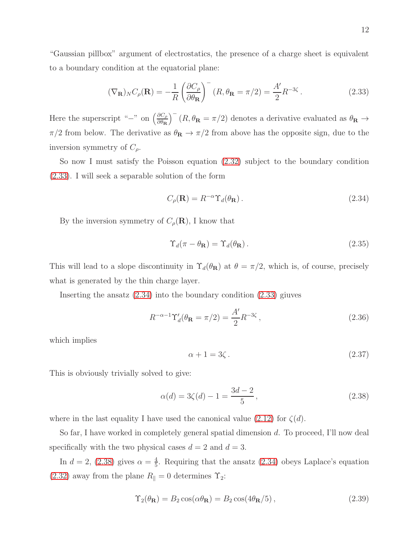12

"Gaussian pillbox" argument of electrostatics, the presence of a charge sheet is equivalent to a boundary condition at the equatorial plane:

<span id="page-11-0"></span>
$$
(\nabla_{\mathbf{R}})_N C_\rho(\mathbf{R}) = -\frac{1}{R} \left( \frac{\partial C_\rho}{\partial \theta_\mathbf{R}} \right)^{-} (R, \theta_\mathbf{R} = \pi/2) = \frac{A'}{2} R^{-3\zeta} \,. \tag{2.33}
$$

Here the superscript "<sup>−</sup>" on  $\left(\frac{\partial C_{\rho}}{\partial \theta_{\mathbf{R}}} \right)$  $\frac{\partial C_{\rho}}{\partial \theta_{\mathbf{R}}}$   $\Big)$ <sup>-</sup>  $(R, \theta_{\mathbf{R}} = \pi/2)$  denotes a derivative evaluated as  $\theta_{\mathbf{R}} \to$  $\pi/2$  from below. The derivative as  $\theta_{\mathbf{R}} \to \pi/2$  from above has the opposite sign, due to the inversion symmetry of  $C_{\rho}$ .

So now I must satisfy the Poisson equation [\(2.32\)](#page-10-2) subject to the boundary condition [\(2.33\)](#page-11-0). I will seek a separable solution of the form

<span id="page-11-1"></span>
$$
C_{\rho}(\mathbf{R}) = R^{-\alpha} \Upsilon_d(\theta_\mathbf{R}). \tag{2.34}
$$

By the inversion symmetry of  $C_{\rho}(\mathbf{R})$ , I know that

$$
\Upsilon_d(\pi - \theta_{\mathbf{R}}) = \Upsilon_d(\theta_{\mathbf{R}}).
$$
\n(2.35)

This will lead to a slope discontinuity in  $\Upsilon_d(\theta_{\mathbf{R}})$  at  $\theta = \pi/2$ , which is, of course, precisely what is generated by the thin charge layer.

Inserting the ansatz  $(2.34)$  into the boundary condition  $(2.33)$  giuves

$$
R^{-\alpha-1} \Upsilon_d'(\theta_{\mathbf{R}} = \pi/2) = \frac{A'}{2} R^{-3\zeta},\qquad(2.36)
$$

which implies

$$
\alpha + 1 = 3\zeta \,. \tag{2.37}
$$

This is obviously trivially solved to give:

<span id="page-11-2"></span>
$$
\alpha(d) = 3\zeta(d) - 1 = \frac{3d - 2}{5},\tag{2.38}
$$

where in the last equality I have used the canonical value  $(2.12)$  for  $\zeta(d)$ .

So far, I have worked in completely general spatial dimension d. To proceed, I'll now deal specifically with the two physical cases  $d = 2$  and  $d = 3$ .

In  $d = 2, (2.38)$  $d = 2, (2.38)$  gives  $\alpha = \frac{4}{5}$  $\frac{4}{5}$ . Requiring that the ansatz [\(2.34\)](#page-11-1) obeys Laplace's equation [\(2.32\)](#page-10-2) away from the plane  $R_{\parallel} = 0$  determines  $\Upsilon_2$ :

$$
\Upsilon_2(\theta_{\mathbf{R}}) = B_2 \cos(\alpha \theta_{\mathbf{R}}) = B_2 \cos(4\theta_{\mathbf{R}}/5), \qquad (2.39)
$$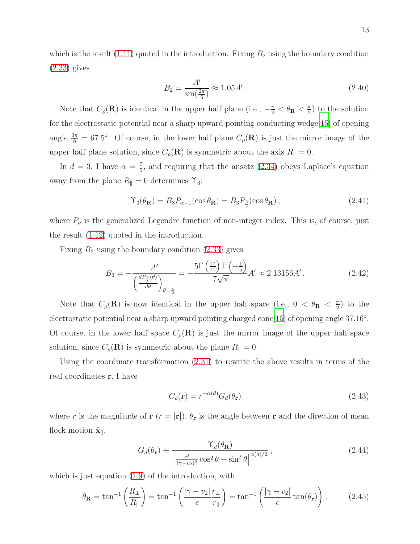which is the result  $(1.11)$  quoted in the introduction. Fixing  $B_2$  using the boundary condition [\(2.33\)](#page-11-0) gives

$$
B_2 = \frac{A'}{\sin(\frac{2\pi}{5})} \approx 1.05A'.
$$
 (2.40)

Note that  $C_{\rho}(\mathbf{R})$  is identical in the upper half plane (i.e.,  $-\frac{\pi}{2} < \theta_{\mathbf{R}} < \frac{\pi}{2}$ )  $\frac{\pi}{2}$  to the solution for the electrostatic potential near a sharp upward pointing conducting wedge[\[15](#page-22-3)] of opening angle  $\frac{3\pi}{8} = 67.5^{\circ}$ . Of course, in the lower half plane  $C_{\rho}(\mathbf{R})$  is just the mirror image of the upper half plane solution, since  $C_{\rho}(\mathbf{R})$  is symmetric about the axis  $R_{\parallel} = 0$ .

In  $d=3$ , I have  $\alpha=\frac{7}{5}$  $\frac{7}{5}$ , and requiring that the ansatz [\(2.34\)](#page-11-1) obeys Laplace's equation away from the plane  $R_{\parallel} = 0$  determines  $\Upsilon_3$ :

$$
\Upsilon_3(\theta_{\mathbf{R}}) = B_3 P_{\alpha-1}(\cos \theta_{\mathbf{R}}) = B_3 P_{\frac{2}{5}}(\cos \theta_{\mathbf{R}}), \qquad (2.41)
$$

where  $P_{\nu}$  is the generalized Legendre function of non-integer index. This is, of course, just the result [\(1.12\)](#page-4-2) quoted in the introduction.

Fixing  $B_3$  using the boundary condition [\(2.33\)](#page-11-0) gives

$$
B_3 = -\frac{A'}{\left(\frac{dP_{\frac{2}{5}}(\theta)}{d\theta}\right)_{\theta=\frac{\pi}{2}}} = -\frac{5\Gamma\left(\frac{17}{10}\right)\Gamma\left(-\frac{1}{5}\right)}{7\sqrt{\pi}}A' \approx 2.13156A'.
$$
 (2.42)

Note that  $C_{\rho}(\mathbf{R})$  is now identical in the upper half space (i.e.,  $0 < \theta_{\mathbf{R}} < \frac{\pi}{2}$ )  $\frac{\pi}{2}$ ) to the electrostatic potential near a sharp upward pointing charged cone[\[15\]](#page-22-3) of opening angle 37.16°. Of course, in the lower half space  $C_{\rho}(\mathbf{R})$  is just the mirror image of the upper half space solution, since  $C_{\rho}(\mathbf{R})$  is symmetric about the plane  $R_{\parallel} = 0$ .

Using the coordinate transformation [\(2.31\)](#page-10-3) to rewrite the above results in terms of the real coordinates r, I have

<span id="page-12-0"></span>
$$
C_{\rho}(\mathbf{r}) = r^{-\alpha(d)} G_d(\theta_{\mathbf{r}})
$$
\n(2.43)

where r is the magnitude of  $r(r = |r|)$ ,  $\theta_r$  is the angle between r and the direction of mean flock motion  $\hat{\mathbf{x}}_{\parallel}$ ,

$$
G_d(\theta_{\mathbf{r}}) \equiv \frac{\Upsilon_d(\theta_{\mathbf{R}})}{\left[\frac{c^2}{(\gamma - v_2)^2} \cos^2 \theta + \sin^2 \theta\right]^{\alpha(d)/2}},\tag{2.44}
$$

which is just equation  $(1.9)$  of the introduction, with

$$
\theta_{\mathbf{R}} = \tan^{-1}\left(\frac{R_{\perp}}{R_{\parallel}}\right) = \tan^{-1}\left(\frac{|\gamma - v_2|}{c} \frac{r_{\perp}}{r_{\parallel}}\right) = \tan^{-1}\left(\frac{|\gamma - v_2|}{c} \tan(\theta_{\mathbf{r}})\right),\tag{2.45}
$$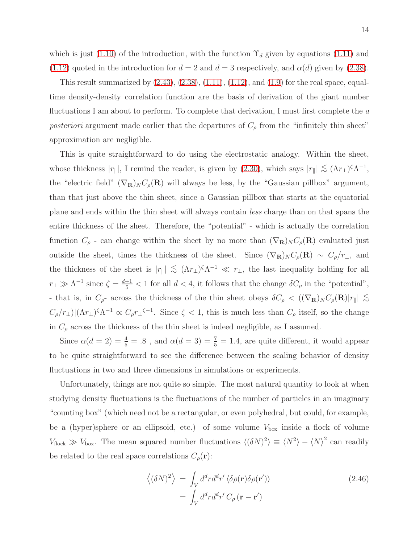which is just [\(1.10\)](#page-3-2) of the introduction, with the function  $\Upsilon_d$  given by equations [\(1.11\)](#page-3-0) and [\(1.12\)](#page-4-2) quoted in the introduction for  $d = 2$  and  $d = 3$  respectively, and  $\alpha(d)$  given by [\(2.38\)](#page-11-2).

This result summarized by  $(2.43)$ ,  $(2.38)$ ,  $(1.11)$ ,  $(1.12)$ , and  $(1.9)$  for the real space, equaltime density-density correlation function are the basis of derivation of the giant number fluctuations I am about to perform. To complete that derivation, I must first complete the a posteriori argument made earlier that the departures of  $C_{\rho}$  from the "infinitely thin sheet" approximation are negligible.

This is quite straightforward to do using the electrostatic analogy. Within the sheet, whose thickness  $|r_{\parallel}|$ , I remind the reader, is given by [\(2.30\)](#page-10-0), which says  $|r_{\parallel}| \lesssim (\Lambda r_{\perp})^{\zeta} \Lambda^{-1}$ , the "electric field"  $(\nabla_{\mathbf{R}})_{N} C_{\rho}(\mathbf{R})$  will always be less, by the "Gaussian pillbox" argument, than that just above the thin sheet, since a Gaussian pillbox that starts at the equatorial plane and ends within the thin sheet will always contain less charge than on that spans the entire thickness of the sheet. Therefore, the "potential" - which is actually the correlation function  $C_\rho$  - can change within the sheet by no more than  $(\nabla_{\bf R})_N C_\rho({\bf R})$  evaluated just outside the sheet, times the thickness of the sheet. Since  $(\nabla_{\mathbf{R}})_N C_\rho(\mathbf{R}) \sim C_\rho/r_\perp$ , and the thickness of the sheet is  $|r_{\parallel}| \lesssim (\Lambda r_{\perp})^{\zeta} \Lambda^{-1} \ll r_{\perp}$ , the last inequality holding for all  $r_{\perp} \gg \Lambda^{-1}$  since  $\zeta = \frac{d+1}{5} < 1$  for all  $d < 4$ , it follows that the change  $\delta C_{\rho}$  in the "potential", - that is, in  $C_{\rho}$ - across the thickness of the thin sheet obeys  $\delta C_{\rho} < ((\nabla_{\mathbf{R}})_{N} C_{\rho}(\mathbf{R})|r_{\parallel}| \lesssim$  $C_\rho/r_\perp$ ) $(\Lambda r_\perp)^{\zeta}\Lambda^{-1} \propto C_\rho r_\perp^{\zeta-1}$ . Since  $\zeta < 1$ , this is much less than  $C_\rho$  itself, so the change in  $C_{\rho}$  across the thickness of the thin sheet is indeed negligible, as I assumed.

Since  $\alpha(d=2) = \frac{4}{5} = .8$ , and  $\alpha(d=3) = \frac{7}{5} = 1.4$ , are quite different, it would appear to be quite straightforward to see the difference between the scaling behavior of density fluctuations in two and three dimensions in simulations or experiments.

Unfortunately, things are not quite so simple. The most natural quantity to look at when studying density fluctuations is the fluctuations of the number of particles in an imaginary "counting box" (which need not be a rectangular, or even polyhedral, but could, for example, be a (hyper)sphere or an ellipsoid, etc.) of some volume  $V_{\text{box}}$  inside a flock of volume  $V_{\text{flock}} \gg V_{\text{box}}$ . The mean squared number fluctuations  $\langle (\delta N)^2 \rangle \equiv \langle N^2 \rangle - \langle N \rangle^2$  can readily be related to the real space correlations  $C_{\rho}(\mathbf{r})$ :

$$
\langle (\delta N)^2 \rangle = \int_V d^d r d^d r' \langle \delta \rho(\mathbf{r}) \delta \rho(\mathbf{r'}) \rangle
$$
\n
$$
= \int_V d^d r d^d r' C_\rho(\mathbf{r} - \mathbf{r'})
$$
\n(2.46)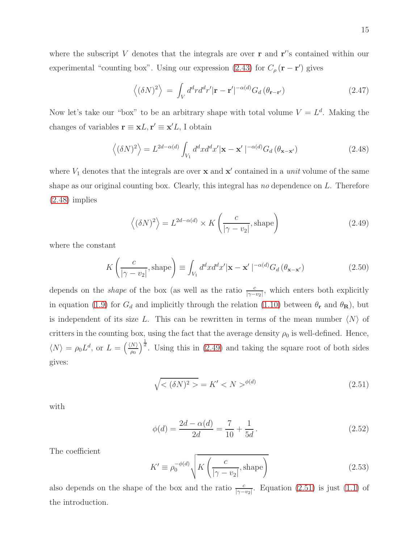where the subscript V denotes that the integrals are over  $\bf{r}$  and  $\bf{r}$ 's contained within our experimental "counting box". Using our expression [\(2.43\)](#page-12-0) for  $C_{\rho}(\mathbf{r}-\mathbf{r}')$  gives

<span id="page-14-4"></span>
$$
\langle (\delta N)^2 \rangle = \int_V d^d r d^d r' |\mathbf{r} - \mathbf{r}'|^{-\alpha(d)} G_d (\theta_{\mathbf{r} - \mathbf{r}'})
$$
 (2.47)

Now let's take our "box" to be an arbitrary shape with total volume  $V = L<sup>d</sup>$ . Making the changes of variables  $\mathbf{r} \equiv \mathbf{x}L, \mathbf{r}' \equiv \mathbf{x}'L, \mathbf{I}$  obtain

<span id="page-14-0"></span>
$$
\left\langle (\delta N)^2 \right\rangle = L^{2d - \alpha(d)} \int_{V_1} d^d x d^d x' |\mathbf{x} - \mathbf{x}'|^{-\alpha(d)} G_d \left( \theta_{\mathbf{x} - \mathbf{x}'} \right) \tag{2.48}
$$

where  $V_1$  denotes that the integrals are over **x** and **x'** contained in a *unit* volume of the same shape as our original counting box. Clearly, this integral has no dependence on  $L$ . Therefore [\(2.48\)](#page-14-0) implies

<span id="page-14-1"></span>
$$
\langle (\delta N)^2 \rangle = L^{2d - \alpha(d)} \times K \left( \frac{c}{|\gamma - v_2|}, \text{shape} \right)
$$
 (2.49)

where the constant

$$
K\left(\frac{c}{|\gamma - v_2|}, \text{shape}\right) \equiv \int_{V_1} d^d x d^d x' |\mathbf{x} - \mathbf{x}'|^{-\alpha(d)} G_d\left(\theta_{\mathbf{x} - \mathbf{x}'}\right)
$$
(2.50)

depends on the *shape* of the box (as well as the ratio  $\frac{c}{|\gamma - v_2|}$ , which enters both explicitly in equation [\(1.9\)](#page-3-1) for  $G_d$  and implicitly through the relation [\(1.10\)](#page-3-2) between  $\theta_r$  and  $\theta_R$ ), but is independent of its size L. This can be rewritten in terms of the mean number  $\langle N \rangle$  of critters in the counting box, using the fact that the average density  $\rho_0$  is well-defined. Hence,  $\langle N \rangle = \rho_0 L^d$ , or  $L = \left(\frac{\langle N \rangle}{\rho_0}\right)^{\frac{1}{d}}$ . Using this in [\(2.49\)](#page-14-1) and taking the square root of both sides gives:

<span id="page-14-2"></span>
$$
\sqrt{\langle (\delta N)^2 \rangle} = K' \langle N \rangle^{\phi(d)} \tag{2.51}
$$

with

<span id="page-14-3"></span>
$$
\phi(d) = \frac{2d - \alpha(d)}{2d} = \frac{7}{10} + \frac{1}{5d}.
$$
\n(2.52)

The coefficient

$$
K' \equiv \rho_0^{-\phi(d)} \sqrt{K\left(\frac{c}{|\gamma - v_2|}, \text{shape}\right)}
$$
 (2.53)

also depends on the shape of the box and the ratio  $\frac{c}{|\gamma - v_2|}$ . Equation [\(2.51\)](#page-14-2) is just [\(1.1\)](#page-1-0) of the introduction.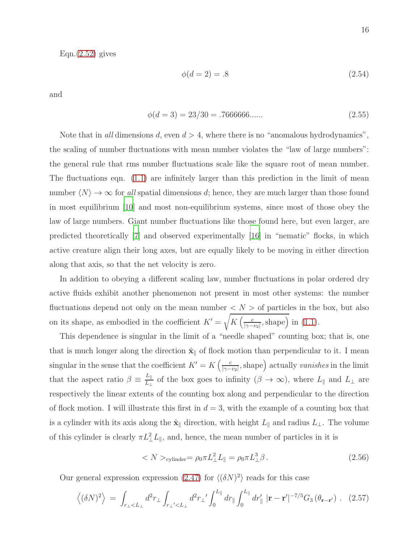$Eqn.(2.52)$  $Eqn.(2.52)$  gives

$$
\phi(d=2) = .8 \tag{2.54}
$$

and

$$
\phi(d=3) = 23/30 = .7666666\ldots \tag{2.55}
$$

Note that in all dimensions d, even  $d > 4$ , where there is no "anomalous hydrodynamics", the scaling of number fluctuations with mean number violates the "law of large numbers": the general rule that rms number fluctuations scale like the square root of mean number. The fluctuations eqn. [\(1.1\)](#page-1-0) are infinitely larger than this prediction in the limit of mean number  $\langle N \rangle \to \infty$  for all spatial dimensions d; hence, they are much larger than those found in most equilibrium [\[10\]](#page-21-5) and most non-equilibrium systems, since most of those obey the law of large numbers. Giant number fluctuations like those found here, but even larger, are predicted theoretically [\[7\]](#page-21-3) and observed experimentally [\[16\]](#page-22-4) in "nematic" flocks, in which active creature align their long axes, but are equally likely to be moving in either direction along that axis, so that the net velocity is zero.

In addition to obeying a different scaling law, number fluctuations in polar ordered dry active fluids exhibit another phenomenon not present in most other systems: the number fluctuations depend not only on the mean number  $\langle N \rangle$  of particles in the box, but also on its shape, as embodied in the coefficient  $K' = \sqrt{K\left(\frac{c}{\log_{10} 5\right)}}$  $\frac{c}{|\gamma - v_2|}$ , shape) in [\(1.1\)](#page-1-0).

This dependence is singular in the limit of a "needle shaped" counting box; that is, one that is much longer along the direction  $\hat{\mathbf{x}}_{\parallel}$  of flock motion than perpendicular to it. I mean singular in the sense that the coefficient  $K' = K \left( \frac{c}{\log n} \right)$  $\frac{c}{|\gamma - v_2|}$ , shape) actually vanishes in the limit that the aspect ratio  $\beta \equiv \frac{L_{\parallel}}{L_{\perp}}$  $\frac{L_{\parallel}}{L_{\perp}}$  of the box goes to infinity  $(\beta \to \infty)$ , where  $L_{\parallel}$  and  $L_{\perp}$  are respectively the linear extents of the counting box along and perpendicular to the direction of flock motion. I will illustrate this first in  $d = 3$ , with the example of a counting box that is a cylinder with its axis along the  $\hat{\mathbf{x}}_{\parallel}$  direction, with height  $L_{\parallel}$  and radius  $L_{\perp}$ . The volume of this cylinder is clearly  $\pi L_{\perp}^2 L_{\parallel}$ , and, hence, the mean number of particles in it is

<span id="page-15-1"></span>
$$
\langle N \rangle_{\text{cylinder}} = \rho_0 \pi L_\perp^2 L_{\parallel} = \rho_0 \pi L_\perp^3 \beta \,. \tag{2.56}
$$

Our general expression expression [\(2.47\)](#page-14-4) for  $\langle (\delta N)^2 \rangle$  reads for this case

<span id="page-15-0"></span>
$$
\left\langle (\delta N)^2 \right\rangle \ = \ \int_{r_{\perp} < L_{\perp}} d^2 r_{\perp} \int_{r_{\perp} < L_{\perp}} d^2 r_{\perp} \int_0^{L_{\parallel}} dr_{\parallel} \int_0^{L_{\parallel}} dr_{\parallel} \ | \mathbf{r} - \mathbf{r}' |^{-7/5} G_3 \left( \theta_{\mathbf{r} - \mathbf{r}'} \right) \ . \tag{2.57}
$$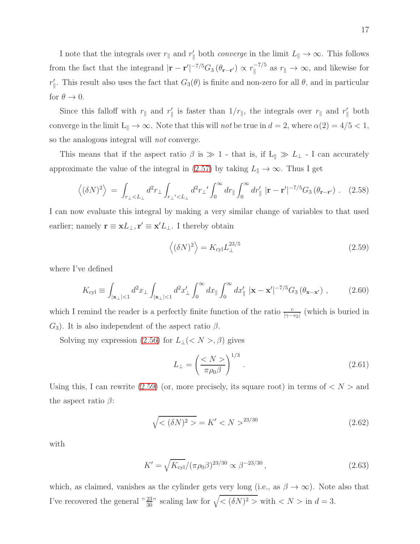I note that the integrals over  $r_{\parallel}$  and  $r_{\parallel}'$  both *converge* in the limit  $L_{\parallel} \to \infty$ . This follows from the fact that the integrand  $|\mathbf{r} - \mathbf{r}'|^{-7/5} G_3 (\theta_{\mathbf{r} - \mathbf{r}'}) \propto r_{\parallel}^{-7/5}$  $\int_{\parallel}^{-t/3}$  as  $r_{\parallel} \to \infty$ , and likewise for  $r'_{\parallel}$ . This result also uses the fact that  $G_3(\theta)$  is finite and non-zero for all  $\theta$ , and in particular for  $\theta \to 0$ .

Since this falloff with  $r_{\parallel}$  and  $r'_{\parallel}$  is faster than  $1/r_{\parallel}$ , the integrals over  $r_{\parallel}$  and  $r'_{\parallel}$  both converge in the limit  $L_{\parallel} \to \infty$ . Note that this will not be true in  $d = 2$ , where  $\alpha(2) = 4/5 < 1$ , so the analogous integral will not converge.

This means that if the aspect ratio  $\beta$  is  $\gg 1$  - that is, if L<sub>k</sub>  $\gg L_1$  - I can accurately approximate the value of the integral in [\(2.57\)](#page-15-0) by taking  $L_{\parallel} \to \infty$ . Thus I get

$$
\left\langle (\delta N)^2 \right\rangle = \int_{r_{\perp} < L_{\perp}} d^2 r_{\perp} \int_{r_{\perp} < L_{\perp}} d^2 r_{\perp} \int_0^\infty dr_{\parallel} \int_0^\infty dr_{\parallel} \left| \mathbf{r} - \mathbf{r}' \right|^{-7/5} G_3 \left( \theta_{\mathbf{r} - \mathbf{r}'} \right) . \tag{2.58}
$$

I can now evaluate this integral by making a very similar change of variables to that used earlier; namely  $\mathbf{r} \equiv \mathbf{x}L_{\perp}, \mathbf{r}' \equiv \mathbf{x}'L_{\perp}$ . I thereby obtain

<span id="page-16-0"></span>
$$
\left\langle (\delta N)^2 \right\rangle = K_{\text{cyl}} L_{\perp}^{23/5} \tag{2.59}
$$

where I've defined

$$
K_{\text{cyl}} \equiv \int_{|\mathbf{x}_{\perp}|<1} d^2 x_{\perp} \int_{|\mathbf{x}_{\perp}|<1} d^2 x'_{\perp} \int_0^\infty dx_{\parallel} \int_0^\infty dx'_{\parallel} |\mathbf{x} - \mathbf{x}'|^{-7/5} G_3 \left( \theta_{\mathbf{x} - \mathbf{x}'} \right), \tag{2.60}
$$

which I remind the reader is a perfectly finite function of the ratio  $\frac{c}{|\gamma - v_2|}$  (which is buried in  $G_3$ ). It is also independent of the aspect ratio  $\beta$ .

Solving my expression [\(2.56\)](#page-15-1) for  $L_{\perp}(< N >, \beta)$  gives

<span id="page-16-3"></span>
$$
L_{\perp} = \left(\frac{\langle N \rangle}{\pi \rho_0 \beta}\right)^{1/3}.
$$
\n(2.61)

Using this, I can rewrite [\(2.59\)](#page-16-0) (or, more precisely, its square root) in terms of  $\langle N \rangle$  and the aspect ratio  $\beta$ :

<span id="page-16-2"></span>
$$
\sqrt{\langle (\delta N)^2 \rangle} = K' < N >^{23/30} \tag{2.62}
$$

with

<span id="page-16-1"></span>
$$
K' = \sqrt{K_{\rm cyl}} / (\pi \rho_0 \beta)^{23/30} \propto \beta^{-23/30}, \qquad (2.63)
$$

which, as claimed, vanishes as the cylinder gets very long (i.e., as  $\beta \to \infty$ ). Note also that I've recovered the general " $\frac{23}{30}$ " scaling law for  $\sqrt{\langle (\delta N)^2 \rangle}$  with  $\langle N \rangle$  in  $d = 3$ .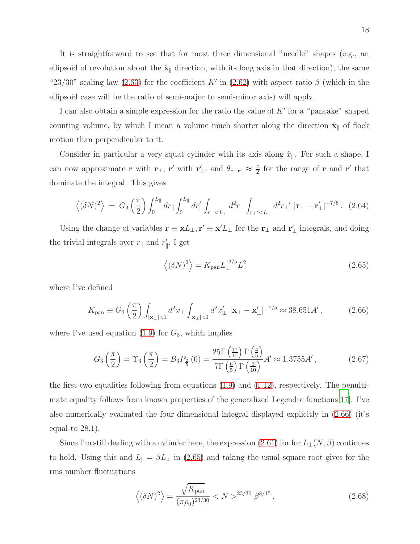It is straightforward to see that for most three dimensional "needle" shapes (e.g., an ellipsoid of revolution about the  $\hat{\mathbf{x}}_{\parallel}$  direction, with its long axis in that direction), the same "23/30" scaling law [\(2.63\)](#page-16-1) for the coefficient K' in [\(2.62\)](#page-16-2) with aspect ratio  $\beta$  (which in the ellipsoid case will be the ratio of semi-major to semi-minor axis) will apply.

I can also obtain a simple expression for the ratio the value of  $K'$  for a "pancake" shaped counting volume, by which I mean a volume much shorter along the direction  $\hat{\mathbf{x}}_{\parallel}$  of flock motion than perpendicular to it.

Consider in particular a very squat cylinder with its axis along  $\hat{x}_{\parallel}$ . For such a shape, I can now approximate **r** with **r**<sub>⊥</sub>, **r'** with **r**<sub>⊥</sub><sup>*'*</sup>, and  $\theta$ <sub>**r**-**r'**  $\approx \frac{\pi}{2}$ </sub>  $\frac{\pi}{2}$  for the range of **r** and **r'** that dominate the integral. This gives

$$
\left\langle (\delta N)^2 \right\rangle = G_3 \left( \frac{\pi}{2} \right) \int_0^{L_{\parallel}} dr_{\parallel} \int_0^{L_{\parallel}} dr'_{\parallel} \int_{r_{\perp} < L_{\perp}} d^2 r_{\perp} \int_{r_{\perp} < L_{\perp}} d^2 r_{\perp'} \left| \mathbf{r}_{\perp} - \mathbf{r}'_{\perp} \right|^{-7/5} . \tag{2.64}
$$

Using the change of variables  $\mathbf{r} \equiv \mathbf{x}L_{\perp}$ ,  $\mathbf{r}' \equiv \mathbf{x}'L_{\perp}$  for the  $\mathbf{r}_{\perp}$  and  $\mathbf{r}'_{\perp}$  integrals, and doing the trivial integrals over  $r_{\parallel}$  and  $r_{\parallel}'$ , I get

<span id="page-17-1"></span>
$$
\left\langle (\delta N)^2 \right\rangle = K_{\text{pan}} L_{\perp}^{13/5} L_{\parallel}^2 \tag{2.65}
$$

where I've defined

<span id="page-17-0"></span>
$$
K_{\text{pan}} \equiv G_3 \left( \frac{\pi}{2} \right) \int_{|\mathbf{x}_{\perp}| < 1} d^2 x_{\perp} \int_{|\mathbf{x}_{\perp}| < 1} d^2 x'_{\perp} \, |\mathbf{x}_{\perp} - \mathbf{x}'_{\perp}|^{-7/5} \approx 38.651 A', \tag{2.66}
$$

where I've used equation  $(1.9)$  for  $G_3$ , which implies

$$
G_3\left(\frac{\pi}{2}\right) = \Upsilon_3\left(\frac{\pi}{2}\right) = B_3 P_{\frac{2}{5}}(0) = \frac{25\Gamma\left(\frac{17}{10}\right)\Gamma\left(\frac{4}{5}\right)}{7\Gamma\left(\frac{6}{5}\right)\Gamma\left(\frac{3}{10}\right)} A' \approx 1.3755 A',\tag{2.67}
$$

the first two equalities following from equations  $(1.9)$  and  $(1.12)$ , respectively. The penultimate equality follows from known properties of the generalized Legendre functions[\[17](#page-22-5)]. I've also numerically evaluated the four dimensional integral displayed explicitly in [\(2.66\)](#page-17-0) (it's equal to 28.1).

Since I'm still dealing with a cylinder here, the expression [\(2.61\)](#page-16-3) for for  $L_{\perp}(N,\beta)$  continues to hold. Using this and  $L_{\parallel} = \beta L_{\perp}$  in [\(2.65\)](#page-17-1) and taking the usual square root gives for the rms number fluctuations

$$
\left\langle (\delta N)^2 \right\rangle = \frac{\sqrt{K_{\text{pan}}}}{(\pi \rho_0)^{23/30}} < N > ^{23/30} \beta^{8/15} \,, \tag{2.68}
$$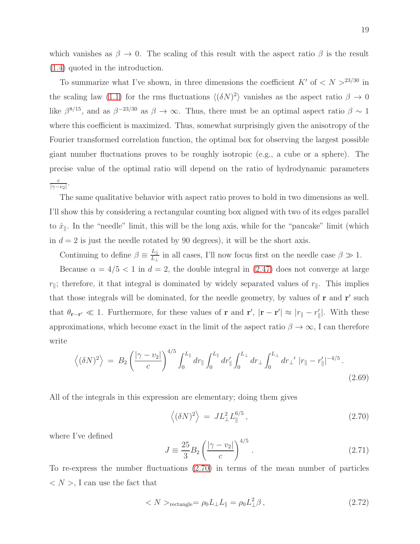which vanishes as  $\beta \to 0$ . The scaling of this result with the aspect ratio  $\beta$  is the result [\(1.4\)](#page-2-0) quoted in the introduction.

To summarize what I've shown, in three dimensions the coefficient  $K'$  of  $\langle N \rangle >^{23/30}$  in the scaling law [\(1.1\)](#page-1-0) for the rms fluctuations  $\langle (\delta N)^2 \rangle$  vanishes as the aspect ratio  $\beta \to 0$ like  $\beta^{8/15}$ , and as  $\beta^{-23/30}$  as  $\beta \to \infty$ . Thus, there must be an optimal aspect ratio  $\beta \sim 1$ where this coefficient is maximized. Thus, somewhat surprisingly given the anisotropy of the Fourier transformed correlation function, the optimal box for observing the largest possible giant number fluctuations proves to be roughly isotropic (e.g., a cube or a sphere). The precise value of the optimal ratio will depend on the ratio of hydrodynamic parameters c  $\frac{c}{|\gamma - v_2|}$ .

The same qualitative behavior with aspect ratio proves to hold in two dimensions as well. I'll show this by considering a rectangular counting box aligned with two of its edges parallel to  $\hat{x}_{\parallel}$ . In the "needle" limit, this will be the long axis, while for the "pancake" limit (which in  $d = 2$  is just the needle rotated by 90 degrees), it will be the short axis.

Continuing to define  $\beta \equiv \frac{L_{\parallel}}{L_{\perp}}$  $\frac{L_{\parallel}}{L_{\perp}}$  in all cases, I'll now focus first on the needle case  $\beta \gg 1$ .

Because  $\alpha = 4/5 < 1$  in  $d = 2$ , the double integral in [\(2.47\)](#page-14-4) does not converge at large  $r_{\parallel}$ ; therefore, it that integral is dominated by widely separated values of  $r_{\parallel}$ . This implies that those integrals will be dominated, for the needle geometry, by values of **r** and **r'** such that  $\theta_{\mathbf{r}-\mathbf{r}'} \ll 1$ . Furthermore, for these values of **r** and **r'**,  $|\mathbf{r}-\mathbf{r}'| \approx |r_{\parallel}-r'_{\parallel}|$ . With these approximations, which become exact in the limit of the aspect ratio  $\beta \to \infty$ , I can therefore write

$$
\left\langle (\delta N)^2 \right\rangle = B_2 \left( \frac{|\gamma - v_2|}{c} \right)^{4/5} \int_0^{L_{\parallel}} dr_{\parallel} \int_0^{L_{\parallel}} dr'_{\parallel} \int_0^{L_{\perp}} dr'_{\perp} \int_0^{L_{\perp}} dr_{\perp} \int_0^{L_{\perp}} dr'_{\perp} |r_{\parallel} - r'_{\parallel}|^{-4/5}.
$$
\n(2.69)

All of the integrals in this expression are elementary; doing them gives

<span id="page-18-0"></span>
$$
\left\langle (\delta N)^2 \right\rangle = J L_\perp^2 L_\parallel^{6/5},\tag{2.70}
$$

where I've defined

$$
J \equiv \frac{25}{3} B_2 \left( \frac{|\gamma - v_2|}{c} \right)^{4/5} . \tag{2.71}
$$

To re-express the number fluctuations [\(2.70\)](#page-18-0) in terms of the mean number of particles  $\langle N \rangle$ , I can use the fact that

<span id="page-18-1"></span>
$$
\langle N \rangle_{\text{rectangle}} = \rho_0 L_\perp L_{\parallel} = \rho_0 L_\perp^2 \beta \,, \tag{2.72}
$$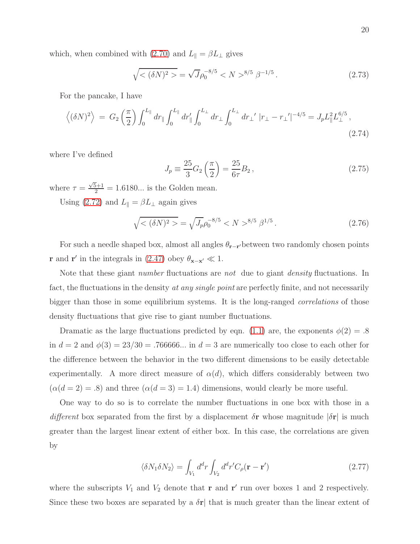which, when combined with [\(2.70\)](#page-18-0) and  $L_{\parallel} = \beta L_{\perp}$  gives

$$
\sqrt{\langle (\delta N)^2 \rangle} = \sqrt{J} \rho_0^{-8/5} \langle N \rangle^{8/5} \beta^{-1/5} . \tag{2.73}
$$

For the pancake, I have

$$
\left\langle (\delta N)^2 \right\rangle = G_2 \left( \frac{\pi}{2} \right) \int_0^{L_{\parallel}} dr_{\parallel} \int_0^{L_{\parallel}} dr_{\parallel} \int_0^{L_{\perp}} dr_{\perp} \int_0^{L_{\perp}} dr_{\perp} \Big| r_{\perp} - r_{\perp}' |^{-4/5} = J_p L_{\parallel}^2 L_{\perp}^{6/5},
$$
\n(2.74)

where I've defined

$$
J_p \equiv \frac{25}{3} G_2 \left(\frac{\pi}{2}\right) = \frac{25}{6\tau} B_2, \qquad (2.75)
$$

where  $\tau = \frac{\sqrt{5}+1}{2} = 1.6180...$  is the Golden mean.

Using [\(2.72\)](#page-18-1) and  $L_{\parallel} = \beta L_{\perp}$  again gives

$$
\sqrt{\langle (\delta N)^2 \rangle} = \sqrt{J_p} \rho_0^{-8/5} \langle N \rangle^{8/5} \beta^{1/5} . \tag{2.76}
$$

For such a needle shaped box, almost all angles  $\theta_{\mathbf{r}-\mathbf{r}'}$  between two randomly chosen points **r** and **r'** in the integrals in [\(2.47\)](#page-14-4) obey  $\theta_{\mathbf{x}-\mathbf{x'}} \ll 1$ .

Note that these giant *number* fluctuations are *not* due to giant *density* fluctuations. In fact, the fluctuations in the density *at any single point* are perfectly finite, and not necessarily bigger than those in some equilibrium systems. It is the long-ranged *correlations* of those density fluctuations that give rise to giant number fluctuations.

Dramatic as the large fluctuations predicted by eqn. [\(1.1\)](#page-1-0) are, the exponents  $\phi(2) = .8$ in  $d = 2$  and  $\phi(3) = 23/30 = .766666...$  in  $d = 3$  are numerically too close to each other for the difference between the behavior in the two different dimensions to be easily detectable experimentally. A more direct measure of  $\alpha(d)$ , which differs considerably between two  $(\alpha(d=2)=.8)$  and three  $(\alpha(d=3)=1.4)$  dimensions, would clearly be more useful.

One way to do so is to correlate the number fluctuations in one box with those in a different box separated from the first by a displacement  $\delta$ **r** whose magnitude  $|\delta$ **r** is much greater than the largest linear extent of either box. In this case, the correlations are given by

<span id="page-19-0"></span>
$$
\langle \delta N_1 \delta N_2 \rangle = \int_{V_1} d^d r \int_{V_2} d^d r' C_\rho (\mathbf{r} - \mathbf{r}')
$$
 (2.77)

where the subscripts  $V_1$  and  $V_2$  denote that **r** and **r'** run over boxes 1 and 2 respectively. Since these two boxes are separated by a  $\delta r$  that is much greater than the linear extent of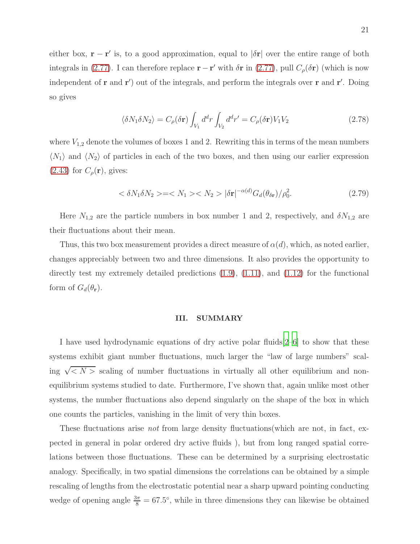either box,  $\mathbf{r} - \mathbf{r}'$  is, to a good approximation, equal to  $|\delta \mathbf{r}|$  over the entire range of both integrals in [\(2.77\)](#page-19-0). I can therefore replace  $\mathbf{r} - \mathbf{r}'$  with  $\delta \mathbf{r}$  in (2.77), pull  $C_{\rho}(\delta \mathbf{r})$  (which is now independent of **r** and **r'**) out of the integrals, and perform the integrals over **r** and **r'**. Doing so gives

$$
\langle \delta N_1 \delta N_2 \rangle = C_\rho(\delta \mathbf{r}) \int_{V_1} d^d r \int_{V_2} d^d r' = C_\rho(\delta \mathbf{r}) V_1 V_2 \tag{2.78}
$$

where  $V_{1,2}$  denote the volumes of boxes 1 and 2. Rewriting this in terms of the mean numbers  $\langle N_1 \rangle$  and  $\langle N_2 \rangle$  of particles in each of the two boxes, and then using our earlier expression  $(2.43)$  for  $C_{\rho}(\mathbf{r})$ , gives:

$$
\langle \delta N_1 \delta N_2 \rangle = \langle N_1 \rangle \langle N_2 \rangle \, |\delta \mathbf{r}|^{-\alpha(d)} G_d(\theta_{\delta \mathbf{r}}) / \rho_0^2. \tag{2.79}
$$

Here  $N_{1,2}$  are the particle numbers in box number 1 and 2, respectively, and  $\delta N_{1,2}$  are their fluctuations about their mean.

Thus, this two box measurement provides a direct measure of  $\alpha(d)$ , which, as noted earlier, changes appreciably between two and three dimensions. It also provides the opportunity to directly test my extremely detailed predictions [\(1.9\)](#page-3-1), [\(1.11\)](#page-3-0), and [\(1.12\)](#page-4-2) for the functional form of  $G_d(\theta_{\mathbf{r}})$ .

## III. SUMMARY

I have used hydrodynamic equations of dry active polar fluids[\[2](#page-21-1)[–6\]](#page-21-2) to show that these systems exhibit giant number fluctuations, much larger the "law of large numbers" scaling  $\sqrt{\langle N \rangle}$  scaling of number fluctuations in virtually all other equilibrium and nonequilibrium systems studied to date. Furthermore, I've shown that, again unlike most other systems, the number fluctuations also depend singularly on the shape of the box in which one counts the particles, vanishing in the limit of very thin boxes.

These fluctuations arise *not* from large density fluctuations(which are not, in fact, expected in general in polar ordered dry active fluids ), but from long ranged spatial correlations between those fluctuations. These can be determined by a surprising electrostatic analogy. Specifically, in two spatial dimensions the correlations can be obtained by a simple rescaling of lengths from the electrostatic potential near a sharp upward pointing conducting wedge of opening angle  $\frac{3\pi}{8} = 67.5^{\circ}$ , while in three dimensions they can likewise be obtained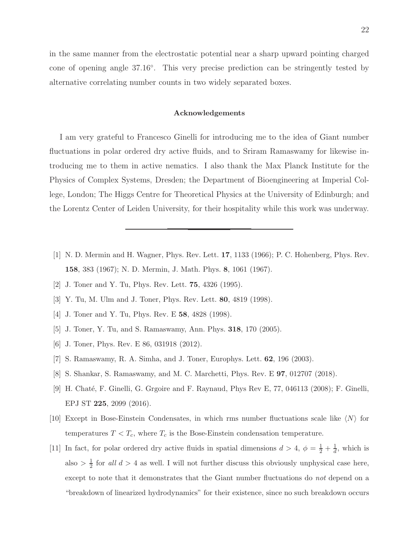in the same manner from the electrostatic potential near a sharp upward pointing charged cone of opening angle 37.16◦ . This very precise prediction can be stringently tested by alternative correlating number counts in two widely separated boxes.

### Acknowledgements

I am very grateful to Francesco Ginelli for introducing me to the idea of Giant number fluctuations in polar ordered dry active fluids, and to Sriram Ramaswamy for likewise introducing me to them in active nematics. I also thank the Max Planck Institute for the Physics of Complex Systems, Dresden; the Department of Bioengineering at Imperial College, London; The Higgs Centre for Theoretical Physics at the University of Edinburgh; and the Lorentz Center of Leiden University, for their hospitality while this work was underway.

- <span id="page-21-0"></span>[1] N. D. Mermin and H. Wagner, Phys. Rev. Lett. 17, 1133 (1966); P. C. Hohenberg, Phys. Rev. 158, 383 (1967); N. D. Mermin, J. Math. Phys. 8, 1061 (1967).
- <span id="page-21-1"></span>[2] J. Toner and Y. Tu, Phys. Rev. Lett. 75, 4326 (1995).
- [3] Y. Tu, M. Ulm and J. Toner, Phys. Rev. Lett. 80, 4819 (1998).
- <span id="page-21-6"></span>[4] J. Toner and Y. Tu, Phys. Rev. E **58**, 4828 (1998).
- <span id="page-21-2"></span>[5] J. Toner, Y. Tu, and S. Ramaswamy, Ann. Phys. 318, 170 (2005).
- [6] J. Toner, Phys. Rev. E 86, 031918 (2012).
- <span id="page-21-3"></span>[7] S. Ramaswamy, R. A. Simha, and J. Toner, Europhys. Lett. 62, 196 (2003).
- [8] S. Shankar, S. Ramaswamy, and M. C. Marchetti, Phys. Rev. E 97, 012707 (2018).
- <span id="page-21-4"></span>[9] H. Chaté, F. Ginelli, G. Grgoire and F. Raynaud, Phys Rev E, 77, 046113 (2008); F. Ginelli, EPJ ST 225, 2099 (2016).
- <span id="page-21-5"></span>[10] Except in Bose-Einstein Condensates, in which rms number fluctuations scale like  $\langle N \rangle$  for temperatures  $T < T_c$ , where  $T_c$  is the Bose-Einstein condensation temperature.
- [11] In fact, for polar ordered dry active fluids in spatial dimensions  $d > 4$ ,  $\phi = \frac{1}{2} + \frac{1}{d}$  $\frac{1}{d}$ , which is also  $> \frac{1}{2}$  $\frac{1}{2}$  for all  $d > 4$  as well. I will not further discuss this obviously unphysical case here, except to note that it demonstrates that the Giant number fluctuations do not depend on a "breakdown of linearized hydrodynamics" for their existence, since no such breakdown occurs